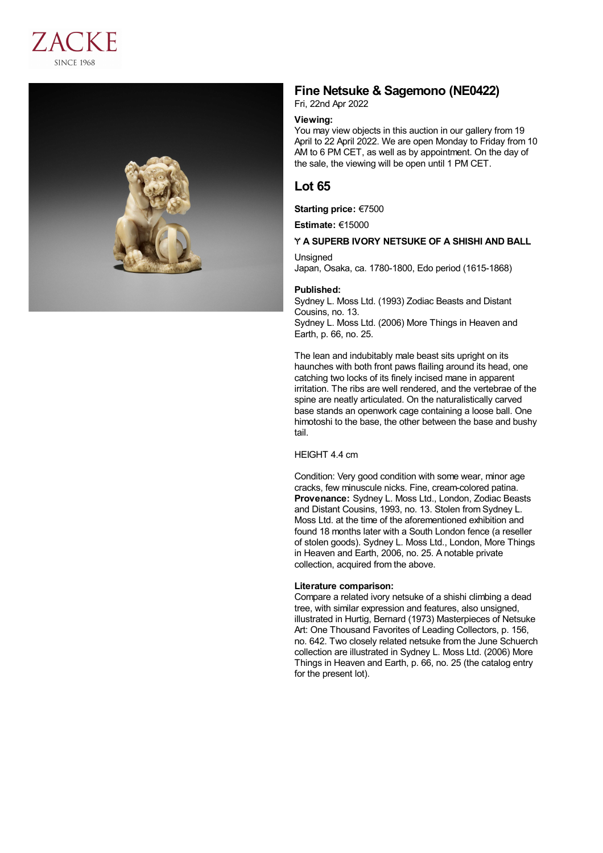



# **Fine Netsuke & Sagemono (NE0422)**

Fri, 22nd Apr 2022

## **Viewing:**

You may view objects in this auction in our gallery from 19 April to 22 April 2022. We are open Monday to Friday from 10 AM to 6 PM CET, as well as by appointment. On the day of the sale, the viewing will be open until 1 PM CET.

# **Lot 65**

**Starting price:** €7500

**Estimate:** €15000

### Ɏ **A SUPERB IVORY NETSUKE OF A SHISHI AND BALL**

Unsigned

Japan, Osaka, ca. 1780-1800, Edo period (1615-1868)

### **Published:**

Sydney L. Moss Ltd. (1993) Zodiac Beasts and Distant Cousins, no. 13. Sydney L. Moss Ltd. (2006) More Things in Heaven and Earth, p. 66, no. 25.

The lean and indubitably male beast sits upright on its haunches with both front paws flailing around its head, one catching two locks of its finely incised mane in apparent irritation. The ribs are well rendered, and the vertebrae of the spine are neatly articulated. On the naturalistically carved base stands an openwork cage containing a loose ball. One himotoshi to the base, the other between the base and bushy tail.

#### HEIGHT 4.4 cm

Condition: Very good condition with some wear, minor age cracks, few minuscule nicks. Fine, cream-colored patina. **Provenance:** Sydney L. Moss Ltd., London, Zodiac Beasts and Distant Cousins, 1993, no. 13. Stolen from Sydney L. Moss Ltd. at the time of the aforementioned exhibition and found 18 months later with a South London fence (a reseller of stolen goods). Sydney L. Moss Ltd., London, More Things in Heaven and Earth, 2006, no. 25. A notable private collection, acquired from the above.

#### **Literature comparison:**

Compare a related ivory netsuke of a shishi climbing a dead tree, with similar expression and features, also unsigned, illustrated in Hurtig, Bernard (1973) Masterpieces of Netsuke Art: One Thousand Favorites of Leading Collectors, p. 156, no. 642. Two closely related netsuke from the June Schuerch collection are illustrated in Sydney L. Moss Ltd. (2006) More Things in Heaven and Earth, p. 66, no. 25 (the catalog entry for the present lot).